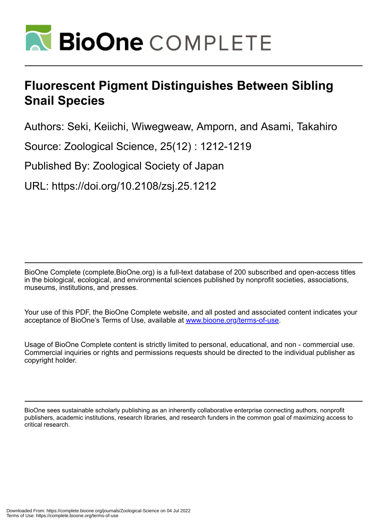

# **Fluorescent Pigment Distinguishes Between Sibling Snail Species**

Authors: Seki, Keiichi, Wiwegweaw, Amporn, and Asami, Takahiro

Source: Zoological Science, 25(12) : 1212-1219

Published By: Zoological Society of Japan

URL: https://doi.org/10.2108/zsj.25.1212

BioOne Complete (complete.BioOne.org) is a full-text database of 200 subscribed and open-access titles in the biological, ecological, and environmental sciences published by nonprofit societies, associations, museums, institutions, and presses.

Your use of this PDF, the BioOne Complete website, and all posted and associated content indicates your acceptance of BioOne's Terms of Use, available at www.bioone.org/terms-of-use.

Usage of BioOne Complete content is strictly limited to personal, educational, and non - commercial use. Commercial inquiries or rights and permissions requests should be directed to the individual publisher as copyright holder.

BioOne sees sustainable scholarly publishing as an inherently collaborative enterprise connecting authors, nonprofit publishers, academic institutions, research libraries, and research funders in the common goal of maximizing access to critical research.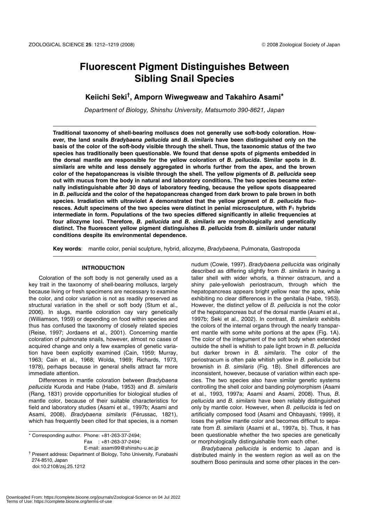## **Fluorescent Pigment Distinguishes Between Sibling Snail Species**

### **Keiichi Seki†, Amporn Wiwegweaw and Takahiro Asami\***

Department of Biology, Shinshu University, Matsumoto 390-8621, Japan

**Traditional taxonomy of shell-bearing molluscs does not generally use soft-body coloration. However, the land snails** *Bradybaena pellucida* **and** *B. similaris* **have been distinguished only on the basis of the color of the soft-body visible through the shell. Thus, the taxonomic status of the two species has traditionally been questionable. We found that dense spots of pigments embedded in the dorsal mantle are responsible for the yellow coloration of** *B. pellucida***. Similar spots in** *B. similaris* **are white and less densely aggregated in whorls further from the apex, and the brown color of the hepatopancreas is visible through the shell. The yellow pigments of** *B. pellucida* **seep out with mucus from the body in natural and laboratory conditions. The two species became externally indistinguishable after 30 days of laboratory feeding, because the yellow spots disappeared in** *B. pellucida* **and the color of the hepatopancreas changed from dark brown to pale brown in both species. Irradiation with ultraviolet A demonstrated that the yellow pigment of** *B. pellucida* **fluo**resces. Adult specimens of the two species were distinct in penial microsculpture, with F<sub>1</sub> hybrids **intermediate in form. Populations of the two species differed significantly in allelic frequencies at four allozyme loci. Therefore,** *B. pellucida* **and** *B. similaris* **are morphologically and genetically distinct. The fluorescent yellow pigment distinguishes** *B. pellucida* **from** *B. similaris* **under natural conditions despite its environmental dependence.**

**Key words**: mantle color, penial sculpture, hybrid, allozyme, Bradybaena, Pulmonata, Gastropoda

#### **INTRODUCTION**

Coloration of the soft body is not generally used as a key trait in the taxonomy of shell-bearing molluscs, largely because living or fresh specimens are necessary to examine the color, and color variation is not as readily preserved as structural variation in the shell or soft body (Stum et al., 2006). In slugs, mantle coloration cay vary genetically (Williamson, 1959) or depending on food within species and thus has confused the taxonomy of closely related species (Reise, 1997; Jordaens et al., 2001). Concerning mantle coloration of pulmonate snails, however, almost no cases of acquired change and only a few examples of genetic variation have been explicitly examined (Cain, 1959; Murray, 1963; Cain et al., 1968; Wolda, 1969; Richards, 1973, 1978), perhaps because in general shells attract far more immediate attention.

Differences in mantle coloration between Bradybaena pellucida Kuroda and Habe (Habe, 1953) and B. similaris (Rang, 1831) provide opportunities for biological studies of mantle color, because of their suitable characteristics for field and laboratory studies (Asami et al., 1997b; Asami and Asami, 2008). Bradybaena similaris (Férussac, 1821), which has frequently been cited for that species, is a nomen

\* Corresponding author. Phone: +81-263-37-2494; Fax : +81-263-37-2494;

E-mail: asami99@shinshu-u.ac.jp

† Present address: Department of Biology, Toho University, Funabashi 274-8510, Japan

doi:10.2108/zsj.25.1212

nudum (Cowie, 1997). Bradybaena pellucida was originally described as differing slightly from B. similaris in having a taller shell with wider whorls, a thinner ostracum, and a shiny pale-yellowish periostracum, through which the hepatopancreas appears bright yellow near the apex, while exhibiting no clear differences in the genitalia (Habe, 1953). However, the distinct yellow of B. pellucida is not the color of the hepatopancreas but of the dorsal mantle (Asami et al., 1997b; Seki et al., 2002). In contrast, B. similaris exhibits the colors of the internal organs through the nearly transparent mantle with some white portions at the apex (Fig. 1A). The color of the integument of the soft body when extended outside the shell is whitish to pale light brown in B. pellucida but darker brown in B. similaris. The color of the periostracum is often pale whitish yellow in B. pellucida but brownish in B. similaris (Fig. 1B). Shell differences are inconsistent, however, because of variation within each species. The two species also have similar genetic systems controlling the shell color and banding polymorphism (Asami et al., 1993, 1997a; Asami and Asami, 2008). Thus, B. pellucida and B. similaris have been reliably distinguished only by mantle color. However, when B. pellucida is fed on artificially composed food (Asami and Ohbayashi, 1999), it loses the yellow mantle color and becomes difficult to separate from B. similaris (Asami et al., 1997a, b). Thus, it has been questionable whether the two species are genetically or morphologically distinguishable from each other.

Bradybaena pellucida is endemic to Japan and is distributed mainly in the western region as well as on the southern Boso peninsula and some other places in the cen-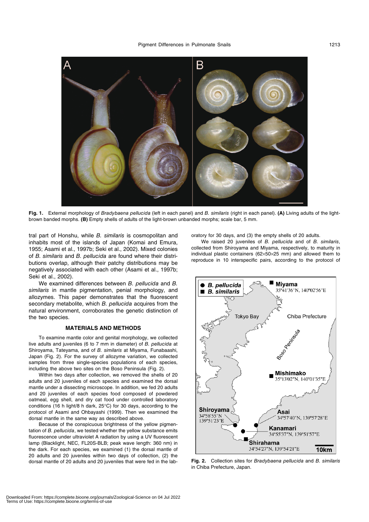

**Fig. 1.** External morphology of Bradybaena pellucida (left in each panel) and B. similaris (right in each panel). **(A)** Living adults of the lightbrown banded morphs. **(B)** Empty shells of adults of the light-brown unbanded morphs; scale bar, 5 mm.

tral part of Honshu, while B. similaris is cosmopolitan and inhabits most of the islands of Japan (Komai and Emura, 1955; Asami et al., 1997b; Seki et al., 2002). Mixed colonies of B. similaris and B. pellucida are found where their distributions overlap, although their patchy distributions may be negatively associated with each other (Asami et al., 1997b; Seki et al., 2002).

We examined differences between B. pellucida and B. similaris in mantle pigmentation, penial morphology, and allozymes. This paper demonstrates that the fluorescent secondary metabolite, which B. pellucida acquires from the natural environment, corroborates the genetic distinction of the two species.

#### **MATERIALS AND METHODS**

To examine mantle color and genital morphology, we collected live adults and juveniles (6 to 7 mm in diameter) of B. pellucida at Shiroyama, Tateyama, and of B. similaris at Miyama, Funabaashi, Japan (Fig. 2). For the survey of allozyme variation, we collected samples from three single-species populations of each species, including the above two sites on the Boso Peninsula (Fig. 2).

Within two days after collection, we removed the shells of 20 adults and 20 juveniles of each species and examined the dorsal mantle under a dissecting microscope. In addition, we fed 20 adults and 20 juveniles of each species food composed of powdered oatmeal, egg shell, and dry cat food under controlled laboratory conditions (16 h light/8 h dark, 25°C) for 30 days, according to the protocol of Asami and Ohbayashi (1999). Then we examined the dorsal mantle in the same way as described above.

Because of the conspicuous brightness of the yellow pigmentation of B. pellucida, we tested whether the yellow substance emits fluorescence under ultraviolet A radiation by using a UV fluorescent lamp (Blacklight, NEC, FL20S-BLB; peak wave length: 360 nm) in the dark. For each species, we examined (1) the dorsal mantle of 20 adults and 20 juveniles within two days of collection, (2) the dorsal mantle of 20 adults and 20 juveniles that were fed in the laboratory for 30 days, and (3) the empty shells of 20 adults.

We raised 20 juveniles of B. pellucida and of B. similaris, collected from Shiroyama and Miyama, respectively, to maturity in individual plastic containers (62×50×25 mm) and allowed them to reproduce in 10 interspecific pairs, according to the protocol of



**Fig. 2.** Collection sites for Bradybaena pellucida and B. similaris in Chiba Prefecture, Japan.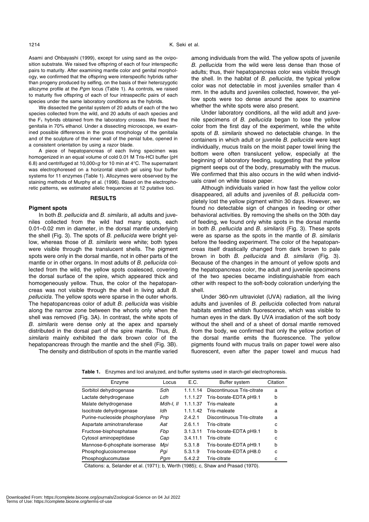Asami and Ohbayashi (1999), except for using sand as the oviposition substrate. We raised five offspring of each of four interspecific pairs to maturity. After examining mantle color and genital morphology, we confirmed that the offspring were interspecific hybrids rather than progeny produced by selfing, on the basis of their heterozygotic allozyme profile at the Pgm locus (Table 1). As controls, we raised to maturity five offspring of each of four intraspecific pairs of each species under the same laboratory conditions as the hybrids.

We dissected the genital system of 20 adults of each of the two species collected from the wild, and 20 adults of each species and the  $F_1$  hybrids obtained from the laboratory crosses. We fixed the genitalia in 70% ethanol. Under a dissecting microscope, we examined possible differences in the gross morphology of the genitalia and of the sculpture of the inner wall of the penial tube, opened in a consistent orientation by using a razor blade.

A piece of hepatopancreas of each living specimen was homogenized in an equal volume of cold 0.01 M Tris-HCl buffer (pH 6.8) and centrifuged at 10,000×g for 10 min at 4°C. The supernatant was electrophoresed on a horizontal starch gel using four buffer systems for 11 enzymes (Table 1). Allozymes were observed by the staining methods of Murphy et al. (1996). Based on the electrophoretic patterns, we estimated allelic frequencies at 12 putative loci.

#### **RESULTS**

#### **Pigment spots**

In both B. pellucida and B. similaris, all adults and juveniles collected from the wild had many spots, each 0.01–0.02 mm in diameter, in the dorsal mantle underlying the shell (Fig. 3). The spots of B. pellucida were bright yellow, whereas those of B. similaris were white; both types were visible through the translucent shells. The pigment spots were only in the dorsal mantle, not in other parts of the mantle or in other organs. In most adults of B. pellucida collected from the wild, the yellow spots coalesced, covering the dorsal surface of the spire, which appeared thick and homogeneously yellow. Thus, the color of the hepatopancreas was not visible through the shell in living adult B. pellucida. The yellow spots were sparse in the outer whorls. The hepatopancreas color of adult B. pellucida was visible along the narrow zone between the whorls only when the shell was removed (Fig. 3A). In contrast, the white spots of B. similaris were dense only at the apex and sparsely distributed in the dorsal part of the spire mantle. Thus, B. similaris mainly exhibited the dark brown color of the hepatopancreas through the mantle and the shell (Fig. 3B).

The density and distribution of spots in the mantle varied

among individuals from the wild. The yellow spots of juvenile B. pellucida from the wild were less dense than those of adults; thus, their hepatopancreas color was visible through the shell. In the habitat of B. pellucida, the typical yellow color was not detectable in most juveniles smaller than 4 mm. In the adults and juveniles collected, however, the yellow spots were too dense around the apex to examine whether the white spots were also present.

Under laboratory conditions, all the wild adult and juvenile specimens of B. pellucida began to lose the yellow color from the first day of the experiment, while the white spots of B. similaris showed no detectable change. In the containers in which adult or juvenile B. pellucida were kept individually, mucus trails on the moist paper towel lining the bottom were often translucent yellow, especially at the beginning of laboratory feeding, suggesting that the yellow pigment seeps out of the body, presumably with the mucus. We confirmed that this also occurs in the wild when individuals crawl on white tissue paper.

Although individuals varied in how fast the yellow color disappeared, all adults and juveniles of B. pellucida completely lost the yellow pigment within 30 days. However, we found no detectable sign of changes in feeding or other behavioral activities. By removing the shells on the 30th day of feeding, we found only white spots in the dorsal mantle in both B. pellucida and B. similaris (Fig. 3). These spots were as sparse as the spots in the mantle of B. similaris before the feeding experiment. The color of the hepatopancreas itself drastically changed from dark brown to pale brown in both B. pellucida and B. similaris (Fig. 3). Because of the changes in the amount of yellow spots and the hepatopancreas color, the adult and juvenile specimens of the two species became indistinguishable from each other with respect to the soft-body coloration underlying the shell.

Under 360-nm ultraviolet (UVA) radiation, all the living adults and juveniles of B. pellucida collected from natural habitats emitted whitish fluorescence, which was visible to human eyes in the dark. By UVA irradiation of the soft body without the shell and of a sheet of dorsal mantle removed from the body, we confirmed that only the yellow portion of the dorsal mantle emits the fluorescence. The yellow pigments found with mucus trails on paper towel were also fluorescent, even after the paper towel and mucus had

| Enzyme                          | Locus     | E.C.     | Buffer system              | Citation |
|---------------------------------|-----------|----------|----------------------------|----------|
| Sorbitol dehydrogenase          | Sdh       | 1.1.1.14 | Discontinuous Tris-citrate | a        |
| Lactate dehydrogenase           | Ldh       | 1.1.1.27 | Tris-borate-EDTA pH9.1     | b        |
| Malate dehydrogenase            | Mdh-I, II | 1.1.1.37 | Tris-maleate               | a        |
| Isocitrate dehydrogenase        | Idh       | 1.1.1.42 | Tris-maleate               | a        |
| Purine-nucleoside phosphorylase | Pnp       | 2.4.2.1  | Discontinuous Tris-citrate | a        |
| Aspartate aminotransferase      | Aat       | 2.6.1.1  | Tris-citrate               | c        |
| Fructose-bisphosphatase         | Fbp       | 3.1.3.11 | Tris-borate-EDTA pH9.1     | b        |
| Cytosol aminopeptidase          | Cap       | 3.4.11.1 | Tris-citrate               | c        |
| Mannose-6-phosphate isomerase   | Mpi       | 5.3.1.8  | Tris-borate-EDTA pH9.1     | b        |
| Phosphoglucoisomerase           | Pgi       | 5.3.1.9  | Tris-borate-EDTA pH8.0     | C        |
| Phosphoglucomutase              | Pam       | 5.4.2.2  | Tris-citrate               | c        |

**Table 1.** Enzymes and loci analyzed, and buffer systems used in starch-gel electrophoresis.

Citations: a, Selander et al. (1971); b, Werth (1985); c, Shaw and Prasad (1970).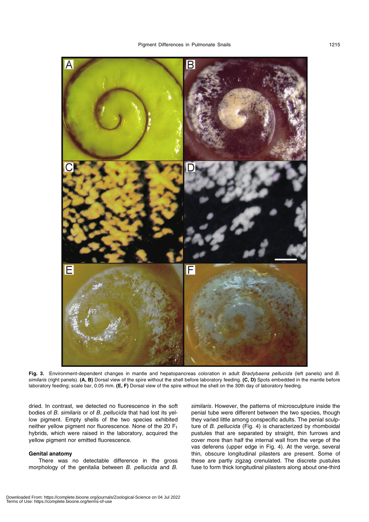

Fig. 3. Environment-dependent changes in mantle and hepatopancreas coloration in adult Bradybaena pellucida (left panels) and B. similaris (right panels). **(A, B)** Dorsal view of the spire without the shell before laboratory feeding. **(C, D)** Spots embedded in the mantle before laboratory feeding; scale bar, 0.05 mm. **(E, F)** Dorsal view of the spire without the shell on the 30th day of laboratory feeding.

dried. In contrast, we detected no fluorescence in the soft bodies of B. similaris or of B. pellucida that had lost its yellow pigment. Empty shells of the two species exhibited neither yellow pigment nor fluorescence. None of the 20 F1 hybrids, which were raised in the laboratory, acquired the yellow pigment nor emitted fluorescence.

#### **Genital anatomy**

There was no detectable difference in the gross morphology of the genitalia between B. pellucida and B.

similaris. However, the patterns of microsculpture inside the penial tube were different between the two species, though they varied little among conspecific adults. The penial sculpture of B. pellucida (Fig. 4) is characterized by rhomboidal pustules that are separated by straight, thin furrows and cover more than half the internal wall from the verge of the vas deferens (upper edge in Fig. 4). At the verge, several thin, obscure longitudinal pilasters are present. Some of these are partly zigzag crenulated. The discrete pustules fuse to form thick longitudinal pilasters along about one-third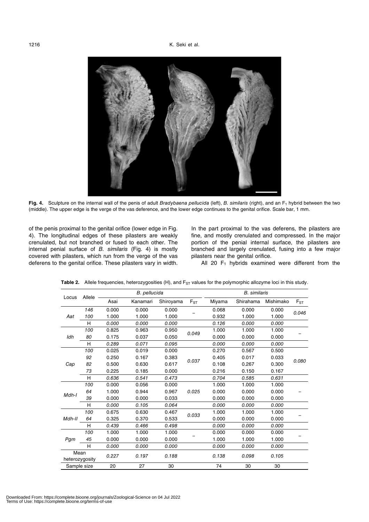

Fig. 4. Sculpture on the internal wall of the penis of adult Bradybaena pellucida (left), B. similaris (right), and an F<sub>1</sub> hybrid between the two (middle). The upper edge is the verge of the vas deference, and the lower edge continues to the genital orifice. Scale bar, 1 mm.

of the penis proximal to the genital orifice (lower edge in Fig. 4). The longitudinal edges of these pilasters are weakly crenulated, but not branched or fused to each other. The internal penial surface of B. similaris (Fig. 4) is mostly covered with pilasters, which run from the verge of the vas deferens to the genital orifice. These pilasters vary in width.

In the part proximal to the vas deferens, the pilasters are fine, and mostly crenulated and compressed. In the major portion of the penial internal surface, the pilasters are branched and largely crenulated, fusing into a few major pilasters near the genital orifice.

All 20  $F_1$  hybrids examined were different from the

| Locus          | Allele | B. pellucida |          |           | <b>B.</b> similaris |        |           |           |          |
|----------------|--------|--------------|----------|-----------|---------------------|--------|-----------|-----------|----------|
|                |        | Asai         | Kanamari | Shiroyama | $F_{ST}$            | Miyama | Shirahama | Mishimako | $F_{ST}$ |
| Aat            | 146    | 0.000        | 0.000    | 0.000     |                     | 0.068  | 0.000     | 0.000     | 0.046    |
|                | 100    | 1.000        | 1.000    | 1.000     |                     | 0.932  | 1.000     | 1.000     |          |
|                | H      | 0.000        | 0.000    | 0.000     |                     | 0.126  | 0.000     | 0.000     |          |
| Idh            | 100    | 0.825        | 0.963    | 0.950     | 0.049               | 1.000  | 1.000     | 1.000     |          |
|                | 80     | 0.175        | 0.037    | 0.050     |                     | 0.000  | 0.000     | 0.000     |          |
|                | H      | 0.289        | 0.071    | 0.095     |                     | 0.000  | 0.000     | 0.000     |          |
| Cap            | 100    | 0.025        | 0.019    | 0.000     | 0.037               | 0.270  | 0.567     | 0.500     | 0.080    |
|                | 92     | 0.250        | 0.167    | 0.383     |                     | 0.405  | 0.017     | 0.033     |          |
|                | 82     | 0.500        | 0.630    | 0.617     |                     | 0.108  | 0.267     | 0.300     |          |
|                | 73     | 0.225        | 0.185    | 0.000     |                     | 0.216  | 0.150     | 0.167     |          |
|                | H      | 0.636        | 0.541    | 0.473     |                     | 0.704  | 0.585     | 0.631     |          |
| Mdh-I          | 100    | 0.000        | 0.056    | 0.000     | 0.025               | 1.000  | 1.000     | 1.000     |          |
|                | 64     | 1.000        | 0.944    | 0.967     |                     | 0.000  | 0.000     | 0.000     |          |
|                | 39     | 0.000        | 0.000    | 0.033     |                     | 0.000  | 0.000     | 0.000     |          |
|                | H      | 0.000        | 0.105    | 0.064     |                     | 0.000  | 0.000     | 0.000     |          |
| Mdh-II         | 100    | 0.675        | 0.630    | 0.467     | 0.033               | 1.000  | 1.000     | 1.000     |          |
|                | 64     | 0.325        | 0.370    | 0.533     |                     | 0.000  | 0.000     | 0.000     |          |
|                | н      | 0.439        | 0.466    | 0.498     |                     | 0.000  | 0.000     | 0.000     |          |
| Pgm            | 100    | 1.000        | 1.000    | 1.000     |                     | 0.000  | 0.000     | 0.000     |          |
|                | 45     | 0.000        | 0.000    | 0.000     |                     | 1.000  | 1.000     | 1.000     |          |
|                | H      | 0.000        | 0.000    | 0.000     |                     | 0.000  | 0.000     | 0.000     |          |
| Mean           |        | 0.227        | 0.197    | 0.188     |                     | 0.138  | 0.098     | 0.105     |          |
| heterozygosity |        |              |          |           |                     |        |           |           |          |
| Sample size    |        | 20           | 27       | 30        |                     | 74     | 30        | 30        |          |

Table 2. Allele frequencies, heterozygosities (H), and F<sub>ST</sub> values for the polymorphic allozyme loci in this study.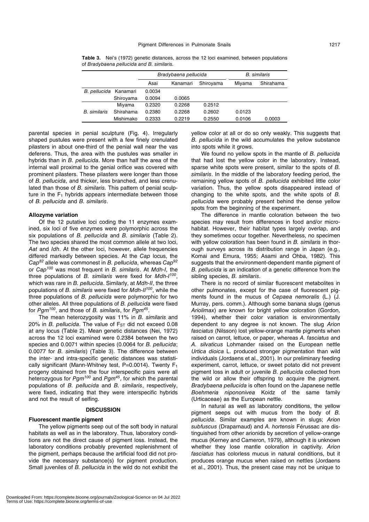|                       |           | Bradybaena pellucida |          |           | <b>B.</b> similaris |           |
|-----------------------|-----------|----------------------|----------|-----------|---------------------|-----------|
|                       |           | Asai                 | Kanamari | Shiroyama | Miyama              | Shirahama |
| B. pellucida Kanamari |           | 0.0034               |          |           |                     |           |
|                       | Shiroyama | 0.0094               | 0.0065   |           |                     |           |
|                       | Miyama    | 0.2320               | 0.2268   | 0.2512    |                     |           |
| <b>B.</b> similaris   | Shirahama | 0.2380               | 0.2268   | 0.2602    | 0.0123              |           |
|                       | Mishimako | 0.2333               | 0.2219   | 0.2550    | 0.0106              | 0.0003    |

**Table 3.** Nei's (1972) genetic distances, across the 12 loci examined, between populations of Bradybaena pellucida and B. similaris.

parental species in penial sculpture (Fig. 4). Irregularly shaped pustules were present with a few finely crenulated pilasters in about one-third of the penial wall near the vas deferens. Thus, the area with the pustules was smaller in hybrids than in B. pellucida. More than half the area of the internal wall proximal to the genial orifice was covered with prominent pilasters. These pilasters were longer than those of B. pellucida, and thicker, less branched, and less crenulated than those of B. similaris. This pattern of penial sculpture in the  $F_1$  hybrids appears intermediate between those of B. pellucida and B. similaris.

#### **Allozyme variation**

Of the 12 putative loci coding the 11 enzymes examined, six loci of five enzymes were polymorphic across the six populations of B. pellucida and B. similaris (Table 2). The two species shared the most common allele at two loci, Aat and Idh. At the other loci, however, allele frequencies differed markedly between species. At the Cap locus, the Cap<sup>82</sup> allele was commonest in B. pellucida, whereas  $Cap^{92}$ or  $Cap^{100}$  was most frequent in B. similaris. At Mdh-I, the three populations of B. similaris were fixed for  $Mdh-I^{100}$ , which was rare in B. pellucida. Similarly, at Mdh-II, the three populations of B. similaris were fixed for  $Mdh$ - $II^{100}$ , while the three populations of B. pellucida were polymorphic for two other alleles. All three populations of B. pellucida were fixed for Pgm<sup>100</sup>, and those of B. similaris, for Pgm<sup>45</sup>.

The mean heterozygosity was 11% in B. similaris and 20% in  $B$ . pellucida. The value of  $F_{ST}$  did not exceed 0.08 at any locus (Table 2). Mean genetic distances (Nei, 1972) across the 12 loci examined were 0.2384 between the two species and 0.0071 within species (0.0064 for B. pellucida; 0.0077 for B. similaris) (Table 3). The difference between the inter- and intra-specific genetic distances was statistically significant (Mann-Whitney test,  $P=0.0014$ ). Twenty  $F_1$ progeny obtained from the four interspecific pairs were all heterozygous for  $Pgm^{100}$  and  $Pgm^{45}$ , for which the parental populations of B. pellucida and B. similaris, respectively, were fixed, indicating that they were interspecific hybrids and not the result of selfing.

#### **DISCUSSION**

#### **Fluorescent mantle pigment**

The yellow pigments seep out of the soft body in natural habitats as well as in the laboratory. Thus, laboratory conditions are not the direct cause of pigment loss. Instead, the laboratory conditions probably prevented replenishment of the pigment, perhaps because the artificial food did not provide the necessary substance(s) for pigment production. Small juveniles of B. pellucida in the wild do not exhibit the yellow color at all or do so only weakly. This suggests that B. pellucida in the wild accumulates the yellow substance into spots while it grows.

We found no yellow spots in the mantle of B. pellucida that had lost the yellow color in the laboratory. Instead, sparse white spots were present, similar to the spots of B. similaris. In the middle of the laboratory feeding period, the remaining yellow spots of B. pellucida exhibited little color variation. Thus, the yellow spots disappeared instead of changing to the white spots, and the white spots of B. pellucida were probably present behind the dense yellow spots from the beginning of the experiment.

The difference in mantle coloration between the two species may result from differences in food and/or microhabitat. However, their habitat types largely overlap, and they sometimes occur together. Nevertheless, no specimen with yellow coloration has been found in B. similaris in thorough surveys across its distribution range in Japan (e.g., Komai and Emura, 1955; Asami and Ohba, 1982). This suggests that the environment-dependent mantle pigment of B. pellucida is an indication of a genetic difference from the sibling species, B. similaris.

There is no record of similar fluorescent metabolites in other pulmonates, except for the case of fluorescent pigments found in the mucus of Cepaea nemoralis (L.) (J. Murray, pers. comm.). Although some banana slugs (genus Ariolimax) are known for bright yellow coloration (Gordon, 1994), whether their color variation is environmentally dependent to any degree is not known. The slug Arion fasciatus (Nilsson) lost yellow-orange mantle pigments when raised on carrot, lettuce, or paper, whereas A. fasciatus and A. silvaticus Lohmander raised on the European nettle Urtica dioica L. produced stronger pigmentation than wild individuals (Jordaens et al., 2001). In our preliminary feeding experiment, carrot, lettuce, or sweet potato did not prevent pigment loss in adult or juvenile B. pellucida collected from the wild or allow their offspring to acquire the pigment. Bradybaena pellucida is often found on the Japanese nettle Boehmeria nipononivea Koidz of the same family (Urticaceae) as the European nettle.

In natural as well as laboratory conditions, the yellow pigment seeps out with mucus from the body of B. pellucida. Similar examples are known in slugs; Arion subfuscus (Draparnaud) and A. hortensis Férussac are distinguished from other arionids by secretion of yellow-orange mucus (Kerney and Cameron, 1979), although it is unknown whether they lose mantle coloration in captivity. Arion fasciatus has colorless mucus in natural conditions, but it produces orange mucus when raised on nettles (Jordaens et al., 2001). Thus, the present case may not be unique to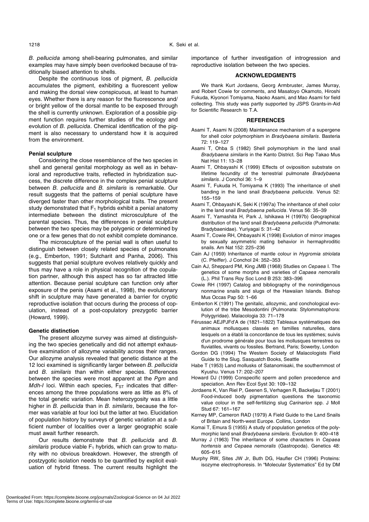B. pellucida among shell-bearing pulmonates, and similar examples may have simply been overlooked because of traditionally biased attention to shells.

Despite the continuous loss of pigment, B. pellucida accumulates the pigment, exhibiting a fluorescent yellow and making the dorsal view conspicuous, at least to human eyes. Whether there is any reason for the fluorescence and/ or bright yellow of the dorsal mantle to be exposed through the shell is currently unknown. Exploration of a possible pigment function requires further studies of the ecology and evolution of B. pellucida. Chemical identification of the pigment is also necessary to understand how it is acquired from the environment.

#### **Penial sculpture**

Considering the close resemblance of the two species in shell and general genital morphology as well as in behavioral and reproductive traits, reflected in hybridization success, the discrete difference in the complex penial sculpture between B. pellucida and B. similaris is remarkable. Our result suggests that the patterns of penial sculpture have diverged faster than other morphological traits. The present study demonstrated that  $F_1$  hybrids exhibit a penial anatomy intermediate between the distinct microsculpture of the parental species. Thus, the differences in penial sculpture between the two species may be polygenic or determined by one or a few genes that do not exhibit complete dominance.

The microsculpture of the penial wall is often useful to distinguish between closely related species of pulmonates (e.g., Emberton, 1991; Sutcharit and Panha, 2006). This suggests that penial sculpture evolves relatively quickly and thus may have a role in physical recognition of the copulation partner, although this aspect has so far attracted little attention. Because penial sculpture can function only after exposure of the penis (Asami et al., 1998), the evolutionary shift in sculpture may have generated a barrier for cryptic reproductive isolation that occurs during the process of copulation, instead of a post-copulatory prezygotic barrier (Howard, 1999).

#### **Genetic distinction**

The present allozyme survey was aimed at distinguishing the two species genetically and did not attempt exhaustive examination of allozyme variability across their ranges. Our allozyme analysis revealed that genetic distance at the 12 loci examined is significantly larger between B. pellucida and B. similaris than within either species. Differences between the species were most apparent at the Pgm and Mdh-I loci. Within each species,  $F_{ST}$  indicates that differences among the three populations were as little as 8% of the total genetic variation. Mean heterozygosity was a little higher in B. pellucida than in B. similaris, because the former was variable at four loci but the latter at two. Elucidation of population history by surveys of genetic variation at a sufficient number of localities over a larger geographic scale must await further research.

Our results demonstrate that B. pellucida and B. similaris produce viable  $F_1$  hybrids, which can grow to maturity with no obvious breakdown. However, the strength of postzygotic isolation needs to be quantified by explicit evaluation of hybrid fitness. The current results highlight the

importance of further investigation of introgression and reproductive isolation between the two species.

#### **ACKNOWLEDGMENTS**

We thank Kurt Jordaens, Georg Armbruster, James Murray, and Robert Cowie for comments, and Masatoyo Okamoto, Hiroshi Fukuda, Kiyonori Tomiyama, Naoko Asami, and Mao Asami for field collecting. This study was partly supported by JSPS Grants-in-Aid for Scientific Research to T.A.

#### **REFERENCES**

- Asami T, Asami N (2008) Maintenance mechanism of a supergene for shell color polymorphism in Bradybaena similaris. Basteria 72: 119–127
- Asami T, Ohba S (1982) Shell polymorphism in the land snail Bradybaena similaris in the Kanto District. Sci Rep Takao Mus Nat Hist 11: 13–28
- Asami T, Ohbayashi K (1999) Effects of oviposition substrate on lifetime fecundity of the terrestrial pulmonate Bradybaena similaris. J Conchol 36: 1-9
- Asami T, Fukuda H, Tomiyama K (1993) The inheritance of shell banding in the land snail Bradybaena pellucida. Venus 52: 155–159
- Asami T, Ohbayashi K, Seki K (1997a) The inheritance of shell color in the land snail Bradybaena pellucida. Venus 56: 35–39
- Asami T, Yamashita H, Park J, Ishikawa H (1997b) Geographical distribution of the land snail Bradybaena pellucida (Pulmonata: Bradybaenidae). Yuriyagai 5: 31–42
- Asami T, Cowie RH, Ohbayashi K (1998) Evolution of mirror images by sexually asymmetric mating behavior in hermaphroditic snails. Am Nat 152: 225–236
- Cain AJ (1959) Inheritance of mantle colour in Hygromia striolata (C. Pfeiffer). J Conchol 24: 352–353
- Cain AJ, Sheppard PM, King JMB (1968) Studies on Cepaea I. The genetics of some morphs and varieties of Capaea nemoralis (L.). Phil Trans Roy Soc Lond B 253: 383–396
- Cowie RH (1997) Catalog and bibliography of the nonindigenous nonmarine snails and slugs of the Hawaiian Islands. Bishop Mus Occas Pap 50: 1–66
- Emberton K (1991) The genitalic, allozymic, and conchological evolution of the tribe Mesodontini (Pulmonata: Stylommatophora: Polygyridae). Malacologia 33: 71–178
- Férussac AEJPJFd'A de (1821–1822) Tableaux systématiques des animaux mollusques classés en familles naturelles, dans lesquels on a établi la concordance de tous les systèmes; suivis d'un prodrome générale pour tous les mollusques terrestres ou fluviatiles, vivants ou fossiles. Bertrand, Paris; Sowerby, London
- Gordon DG (1994) The Western Society of Malacologists Field Guide to the Slug. Sasquatch Books, Seattle
- Habe T (1953) Land mollusks of Satanomisaki, the southernmost of Kyushu. Venus 17: 202–207
- Howard DJ (1999) Conspecific sperm and pollen precedence and speciation. Ann Rev Ecol Syst 30: 109–132
- Jordaens K, Van Riel P, Geenen S, Verhagen R, Backeljau T (2001) Food-induced body pigmentation questions the taxonomic value colour in the self-fertilizing slug Carinarion spp. J Moll Stud 67: 161–167
- Kerney MP, Cameron RAD (1979) A Field Guide to the Land Snails of Britain and North-west Europe. Collins, London
- Komai T, Emura S (1955) A study of population genetics of the polymorphic land snail Bradybaena similaris. Evolution 9: 400–418
- Murray J (1963) The inheritance of some characters in Cepaea hortensis and Cepaea nemoralis (Gastropoda). Genetics 48: 605–615
- Murphy RW, Sites JW Jr, Buth DG, Haufler CH (1996) Proteins: isozyme electrophoresis. In "Molecular Systematics" Ed by DM